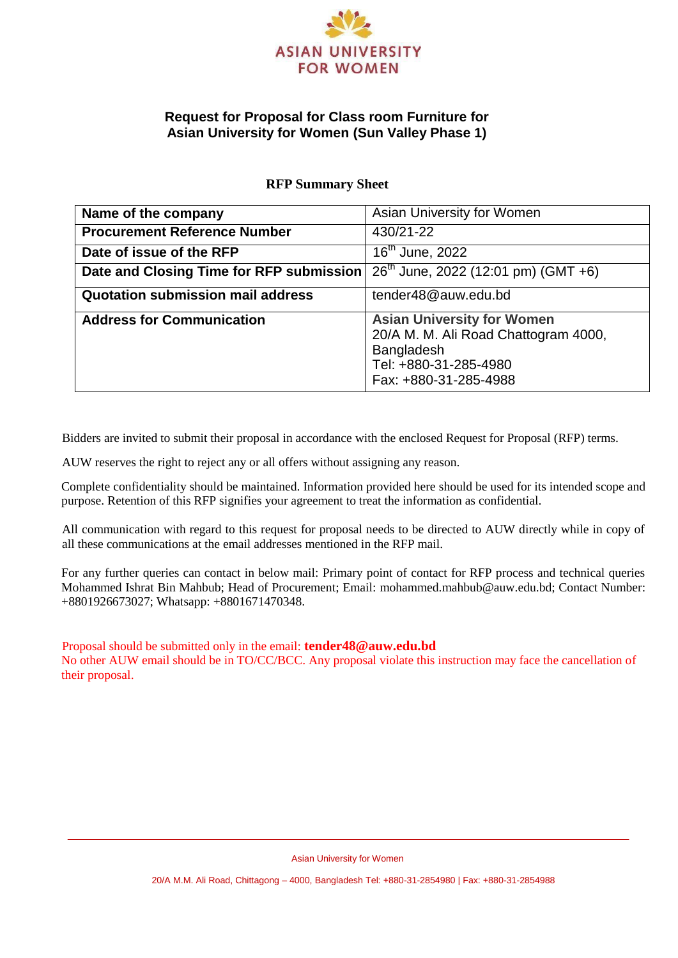

## **Request for Proposal for Class room Furniture for Asian University for Women (Sun Valley Phase 1)**

| Name of the company                      | Asian University for Women                                                                                                                |
|------------------------------------------|-------------------------------------------------------------------------------------------------------------------------------------------|
| <b>Procurement Reference Number</b>      | 430/21-22                                                                                                                                 |
| Date of issue of the RFP                 | $16th$ June, 2022                                                                                                                         |
| Date and Closing Time for RFP submission | $26th$ June, 2022 (12:01 pm) (GMT +6)                                                                                                     |
| <b>Quotation submission mail address</b> | tender48@auw.edu.bd                                                                                                                       |
| <b>Address for Communication</b>         | <b>Asian University for Women</b><br>20/A M. M. Ali Road Chattogram 4000,<br>Bangladesh<br>Tel: +880-31-285-4980<br>Fax: +880-31-285-4988 |

## **RFP Summary Sheet**

Bidders are invited to submit their proposal in accordance with the enclosed Request for Proposal (RFP) terms.

AUW reserves the right to reject any or all offers without assigning any reason.

Complete confidentiality should be maintained. Information provided here should be used for its intended scope and purpose. Retention of this RFP signifies your agreement to treat the information as confidential.

All communication with regard to this request for proposal needs to be directed to AUW directly while in copy of all these communications at the email addresses mentioned in the RFP mail.

For any further queries can contact in below mail: Primary point of contact for RFP process and technical queries Mohammed Ishrat Bin Mahbub; Head of Procurement; Email: mohammed.mahbub@auw.edu.bd; Contact Number: +8801926673027; Whatsapp: +8801671470348.

Proposal should be submitted only in the email: **tender48@auw.edu.bd** No other AUW email should be in TO/CC/BCC. Any proposal violate this instruction may face the cancellation of their proposal.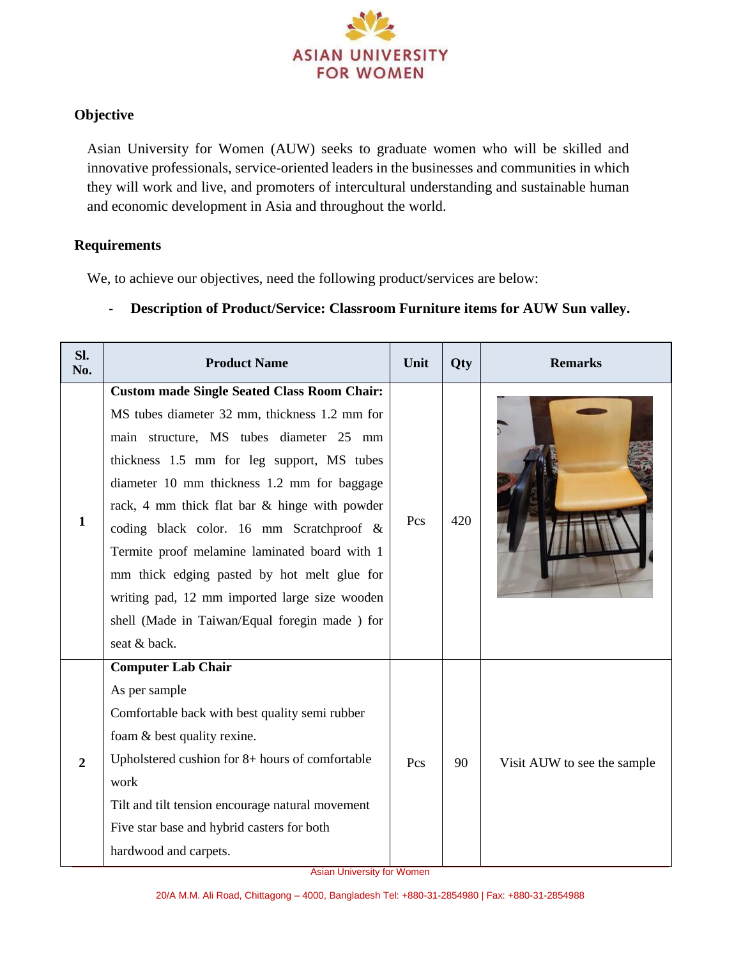

# **Objective**

Asian University for Women (AUW) seeks to graduate women who will be skilled and innovative professionals, service-oriented leaders in the businesses and communities in which they will work and live, and promoters of intercultural understanding and sustainable human and economic development in Asia and throughout the world.

#### **Requirements**

We, to achieve our objectives, need the following product/services are below:

#### - **Description of Product/Service: Classroom Furniture items for AUW Sun valley.**

| Sl.<br>No.     | <b>Product Name</b>                                                                                                                                                                                                                                                                                                                                                                                                                                                                                                                                         | Unit | <b>Qty</b> | <b>Remarks</b>              |
|----------------|-------------------------------------------------------------------------------------------------------------------------------------------------------------------------------------------------------------------------------------------------------------------------------------------------------------------------------------------------------------------------------------------------------------------------------------------------------------------------------------------------------------------------------------------------------------|------|------------|-----------------------------|
| $\mathbf{1}$   | <b>Custom made Single Seated Class Room Chair:</b><br>MS tubes diameter 32 mm, thickness 1.2 mm for<br>main structure, MS tubes diameter 25 mm<br>thickness 1.5 mm for leg support, MS tubes<br>diameter 10 mm thickness 1.2 mm for baggage<br>rack, 4 mm thick flat bar & hinge with powder<br>coding black color. 16 mm Scratchproof &<br>Termite proof melamine laminated board with 1<br>mm thick edging pasted by hot melt glue for<br>writing pad, 12 mm imported large size wooden<br>shell (Made in Taiwan/Equal foregin made ) for<br>seat & back. | Pcs  | 420        |                             |
| $\overline{2}$ | <b>Computer Lab Chair</b><br>As per sample<br>Comfortable back with best quality semi rubber<br>foam & best quality rexine.<br>Upholstered cushion for 8+ hours of comfortable<br>work<br>Tilt and tilt tension encourage natural movement<br>Five star base and hybrid casters for both<br>hardwood and carpets.                                                                                                                                                                                                                                           | Pcs  | 90         | Visit AUW to see the sample |

Asian University for Women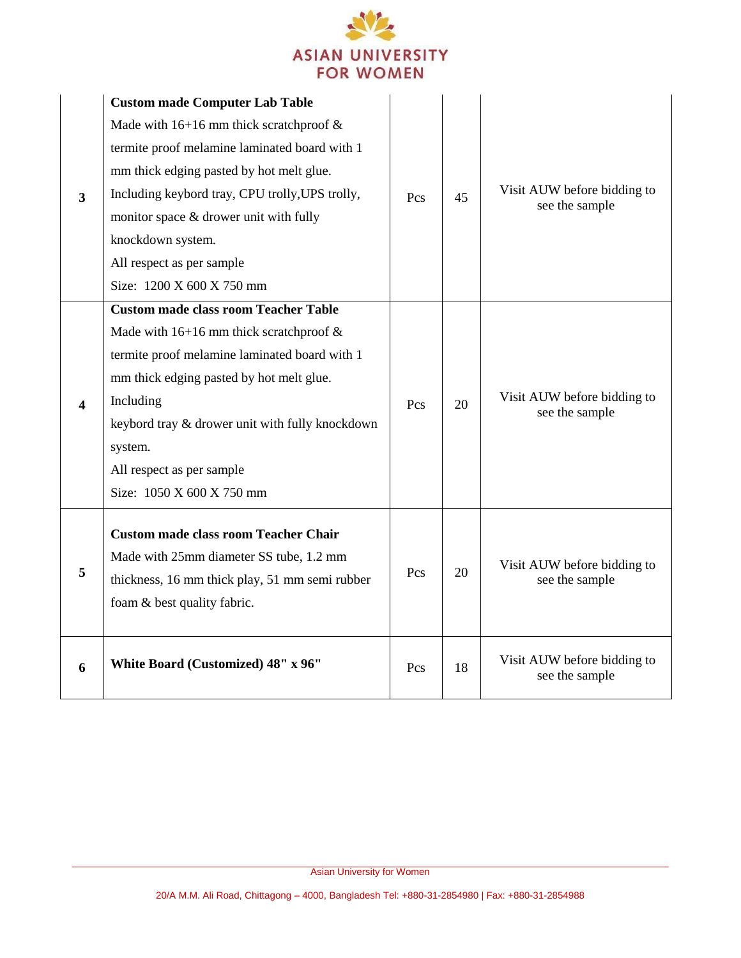

| $\overline{\mathbf{3}}$ | <b>Custom made Computer Lab Table</b><br>Made with $16+16$ mm thick scratchproof &<br>termite proof melamine laminated board with 1<br>mm thick edging pasted by hot melt glue.<br>Including keybord tray, CPU trolly, UPS trolly,<br>monitor space & drower unit with fully<br>knockdown system.<br>All respect as per sample<br>Size: 1200 X 600 X 750 mm | Pcs | 45 | Visit AUW before bidding to<br>see the sample |
|-------------------------|-------------------------------------------------------------------------------------------------------------------------------------------------------------------------------------------------------------------------------------------------------------------------------------------------------------------------------------------------------------|-----|----|-----------------------------------------------|
| $\boldsymbol{4}$        | <b>Custom made class room Teacher Table</b><br>Made with $16+16$ mm thick scratchproof &<br>termite proof melamine laminated board with 1<br>mm thick edging pasted by hot melt glue.<br>Including<br>keybord tray & drower unit with fully knockdown<br>system.<br>All respect as per sample<br>Size: 1050 X 600 X 750 mm                                  | Pcs | 20 | Visit AUW before bidding to<br>see the sample |
| 5                       | <b>Custom made class room Teacher Chair</b><br>Made with 25mm diameter SS tube, 1.2 mm<br>thickness, 16 mm thick play, 51 mm semi rubber<br>foam & best quality fabric.                                                                                                                                                                                     | Pcs | 20 | Visit AUW before bidding to<br>see the sample |
| 6                       | White Board (Customized) 48" x 96"                                                                                                                                                                                                                                                                                                                          | Pcs | 18 | Visit AUW before bidding to<br>see the sample |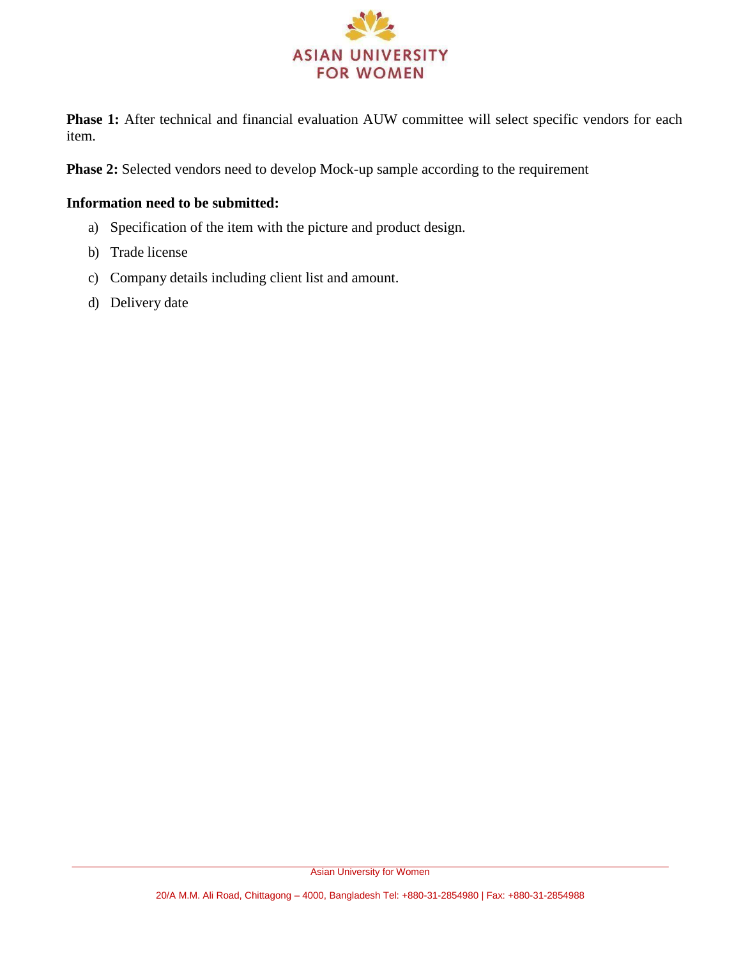

**Phase 1:** After technical and financial evaluation AUW committee will select specific vendors for each item.

**Phase 2:** Selected vendors need to develop Mock-up sample according to the requirement

## **Information need to be submitted:**

- a) Specification of the item with the picture and product design.
- b) Trade license
- c) Company details including client list and amount.
- d) Delivery date